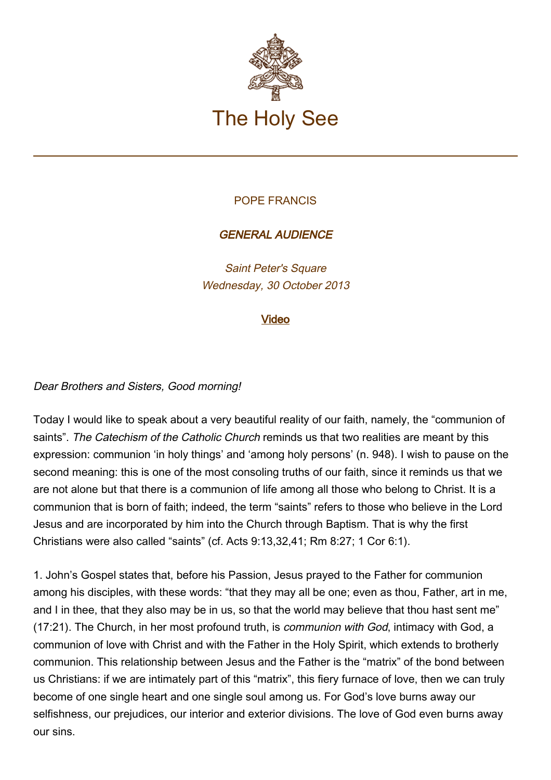

# POPE FRANCIS

# GENERAL AUDIENCE

Saint Peter's Square Wednesday, 30 October 2013

## [Video](http://player.rv.va/vaticanplayer.asp?language=it&tic=VA_P9OMMIDN)

### Dear Brothers and Sisters, Good morning!

Today I would like to speak about a very beautiful reality of our faith, namely, the "communion of saints". The Catechism of the Catholic Church reminds us that two realities are meant by this expression: communion 'in holy things' and 'among holy persons' (n. 948). I wish to pause on the second meaning: this is one of the most consoling truths of our faith, since it reminds us that we are not alone but that there is a communion of life among all those who belong to Christ. It is a communion that is born of faith; indeed, the term "saints" refers to those who believe in the Lord Jesus and are incorporated by him into the Church through Baptism. That is why the first Christians were also called "saints" (cf. Acts 9:13,32,41; Rm 8:27; 1 Cor 6:1).

1. John's Gospel states that, before his Passion, Jesus prayed to the Father for communion among his disciples, with these words: "that they may all be one; even as thou, Father, art in me, and I in thee, that they also may be in us, so that the world may believe that thou hast sent me" (17:21). The Church, in her most profound truth, is communion with God, intimacy with God, a communion of love with Christ and with the Father in the Holy Spirit, which extends to brotherly communion. This relationship between Jesus and the Father is the "matrix" of the bond between us Christians: if we are intimately part of this "matrix", this fiery furnace of love, then we can truly become of one single heart and one single soul among us. For God's love burns away our selfishness, our prejudices, our interior and exterior divisions. The love of God even burns away our sins.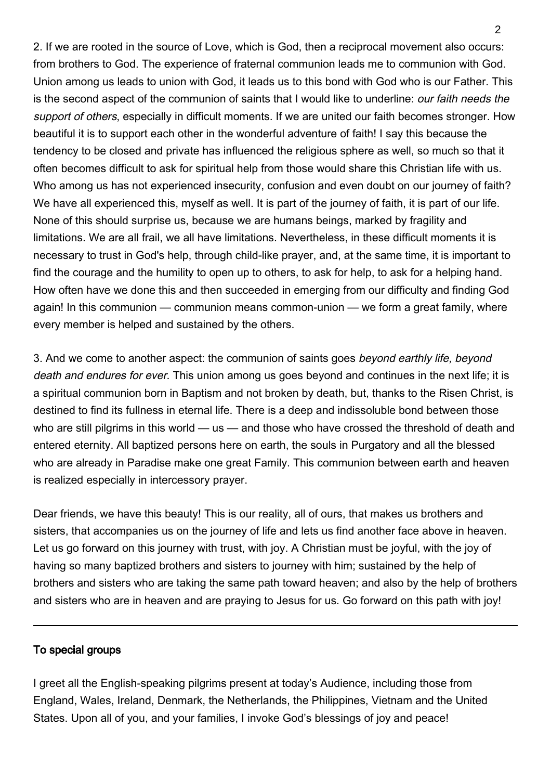2. If we are rooted in the source of Love, which is God, then a reciprocal movement also occurs: from brothers to God. The experience of fraternal communion leads me to communion with God. Union among us leads to union with God, it leads us to this bond with God who is our Father. This is the second aspect of the communion of saints that I would like to underline: our faith needs the support of others, especially in difficult moments. If we are united our faith becomes stronger. How beautiful it is to support each other in the wonderful adventure of faith! I say this because the tendency to be closed and private has influenced the religious sphere as well, so much so that it often becomes difficult to ask for spiritual help from those would share this Christian life with us. Who among us has not experienced insecurity, confusion and even doubt on our journey of faith? We have all experienced this, myself as well. It is part of the journey of faith, it is part of our life. None of this should surprise us, because we are humans beings, marked by fragility and limitations. We are all frail, we all have limitations. Nevertheless, in these difficult moments it is necessary to trust in God's help, through child-like prayer, and, at the same time, it is important to find the courage and the humility to open up to others, to ask for help, to ask for a helping hand. How often have we done this and then succeeded in emerging from our difficulty and finding God again! In this communion — communion means common-union — we form a great family, where every member is helped and sustained by the others.

3. And we come to another aspect: the communion of saints goes beyond earthly life, beyond death and endures for ever. This union among us goes beyond and continues in the next life; it is a spiritual communion born in Baptism and not broken by death, but, thanks to the Risen Christ, is destined to find its fullness in eternal life. There is a deep and indissoluble bond between those who are still pilgrims in this world — us — and those who have crossed the threshold of death and entered eternity. All baptized persons here on earth, the souls in Purgatory and all the blessed who are already in Paradise make one great Family. This communion between earth and heaven is realized especially in intercessory prayer.

Dear friends, we have this beauty! This is our reality, all of ours, that makes us brothers and sisters, that accompanies us on the journey of life and lets us find another face above in heaven. Let us go forward on this journey with trust, with joy. A Christian must be joyful, with the joy of having so many baptized brothers and sisters to journey with him; sustained by the help of brothers and sisters who are taking the same path toward heaven; and also by the help of brothers and sisters who are in heaven and are praying to Jesus for us. Go forward on this path with joy!

#### To special groups

I greet all the English-speaking pilgrims present at today's Audience, including those from England, Wales, Ireland, Denmark, the Netherlands, the Philippines, Vietnam and the United States. Upon all of you, and your families, I invoke God's blessings of joy and peace!